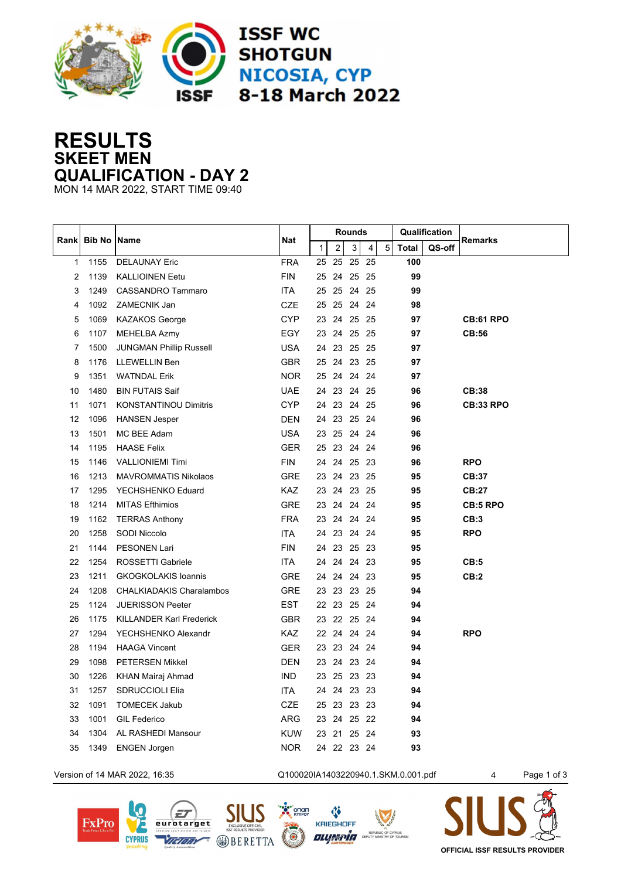

## **RESULTS SKEET MEN QUALIFICATION - DAY 2**

MON 14 MAR 2022, START TIME 09:40

|      | <b>Bib No Name</b> |                                 | <b>Nat</b> | <b>Rounds</b> |                |             |                |   | Qualification |        |                  |
|------|--------------------|---------------------------------|------------|---------------|----------------|-------------|----------------|---|---------------|--------|------------------|
| Rank |                    |                                 |            | $\mathbf{1}$  | $\overline{2}$ | 3           | $\overline{4}$ | 5 | <b>Total</b>  | QS-off | <b>Remarks</b>   |
| 1    | 1155               | <b>DELAUNAY Eric</b>            | <b>FRA</b> | 25            | 25             | 25 25       |                |   | 100           |        |                  |
| 2    | 1139               | <b>KALLIOINEN Eetu</b>          | <b>FIN</b> | 25            | 24             | 25 25       |                |   | 99            |        |                  |
| 3    | 1249               | <b>CASSANDRO Tammaro</b>        | <b>ITA</b> | 25            |                | 25 24 25    |                |   | 99            |        |                  |
| 4    | 1092               | ZAMECNIK Jan                    | CZE        | 25            |                | 25 24 24    |                |   | 98            |        |                  |
| 5    | 1069               | <b>KAZAKOS George</b>           | <b>CYP</b> |               |                | 23 24 25 25 |                |   | 97            |        | <b>CB:61 RPO</b> |
| 6    | 1107               | MEHELBA Azmy                    | EGY        |               |                | 23 24 25 25 |                |   | 97            |        | CB:56            |
| 7    | 1500               | <b>JUNGMAN Phillip Russell</b>  | <b>USA</b> |               |                | 24 23 25 25 |                |   | 97            |        |                  |
| 8    | 1176               | LLEWELLIN Ben                   | <b>GBR</b> |               |                | 25 24 23 25 |                |   | 97            |        |                  |
| 9    | 1351               | <b>WATNDAL Erik</b>             | <b>NOR</b> |               |                | 25 24 24 24 |                |   | 97            |        |                  |
| 10   | 1480               | <b>BIN FUTAIS Saif</b>          | <b>UAE</b> | 24            |                | 23 24 25    |                |   | 96            |        | CB:38            |
| 11   | 1071               | <b>KONSTANTINOU Dimitris</b>    | <b>CYP</b> | 24            |                | 23 24 25    |                |   | 96            |        | <b>CB:33 RPO</b> |
| 12   | 1096               | <b>HANSEN Jesper</b>            | <b>DEN</b> | 24            |                | 23 25 24    |                |   | 96            |        |                  |
| 13   | 1501               | MC BEE Adam                     | <b>USA</b> | 23            |                | 25 24 24    |                |   | 96            |        |                  |
| 14   | 1195               | <b>HAASE Felix</b>              | <b>GER</b> | 25            | 23             | 24 24       |                |   | 96            |        |                  |
| 15   | 1146               | <b>VALLIONIEMI Timi</b>         | <b>FIN</b> | 24            | 24             | 25 23       |                |   | 96            |        | <b>RPO</b>       |
| 16   | 1213               | <b>MAVROMMATIS Nikolaos</b>     | <b>GRE</b> | 23            |                | 24 23 25    |                |   | 95            |        | CB:37            |
| 17   | 1295               | YECHSHENKO Eduard               | <b>KAZ</b> | 23            |                | 24 23 25    |                |   | 95            |        | <b>CB:27</b>     |
| 18   | 1214               | <b>MITAS Efthimios</b>          | <b>GRE</b> | 23            |                | 24 24 24    |                |   | 95            |        | <b>CB:5 RPO</b>  |
| 19   | 1162               | <b>TERRAS Anthony</b>           | <b>FRA</b> | 23            |                | 24 24 24    |                |   | 95            |        | CB:3             |
| 20   | 1258               | SODI Niccolo                    | <b>ITA</b> |               |                | 24 23 24 24 |                |   | 95            |        | <b>RPO</b>       |
| 21   | 1144               | <b>PESONEN Lari</b>             | <b>FIN</b> | 24            | 23             | 25 23       |                |   | 95            |        |                  |
| 22   | 1254               | ROSSETTI Gabriele               | ITA        | 24            | 24             | 24 23       |                |   | 95            |        | CB:5             |
| 23   | 1211               | <b>GKOGKOLAKIS loannis</b>      | <b>GRE</b> | 24            | 24             | 24 23       |                |   | 95            |        | CB:2             |
| 24   | 1208               | <b>CHALKIADAKIS Charalambos</b> | <b>GRE</b> | 23            |                | 23 23 25    |                |   | 94            |        |                  |
| 25   | 1124               | <b>JUERISSON Peeter</b>         | <b>EST</b> |               | 22 23          | 25 24       |                |   | 94            |        |                  |
| 26   | 1175               | <b>KILLANDER Karl Frederick</b> | <b>GBR</b> | 23            |                | 22 25 24    |                |   | 94            |        |                  |
| 27   | 1294               | YECHSHENKO Alexandr             | KAZ.       | 22            | 24             | 24 24       |                |   | 94            |        | <b>RPO</b>       |
| 28   | 1194               | <b>HAAGA Vincent</b>            | <b>GER</b> | 23            |                | 23 24 24    |                |   | 94            |        |                  |
| 29   | 1098               | <b>PETERSEN Mikkel</b>          | <b>DEN</b> | 23            | 24             | 23 24       |                |   | 94            |        |                  |
| 30   | 1226               | KHAN Mairaj Ahmad               | <b>IND</b> | 23            |                | 25 23 23    |                |   | 94            |        |                  |
| 31   | 1257               | <b>SDRUCCIOLI Elia</b>          | ITA.       | 24            | 24             | 23 23       |                |   | 94            |        |                  |
| 32   | 1091               | <b>TOMECEK Jakub</b>            | CZE        | 25            |                | 23 23 23    |                |   | 94            |        |                  |
| 33   | 1001               | <b>GIL Federico</b>             | <b>ARG</b> |               |                | 23 24 25 22 |                |   | 94            |        |                  |
| 34   | 1304               | AL RASHEDI Mansour              | <b>KUW</b> | 23            |                | 21 25 24    |                |   | 93            |        |                  |
| 35   | 1349               | <b>ENGEN Jorgen</b>             | <b>NOR</b> |               |                | 24 22 23 24 |                |   | 93            |        |                  |
|      |                    |                                 |            |               |                |             |                |   |               |        |                  |

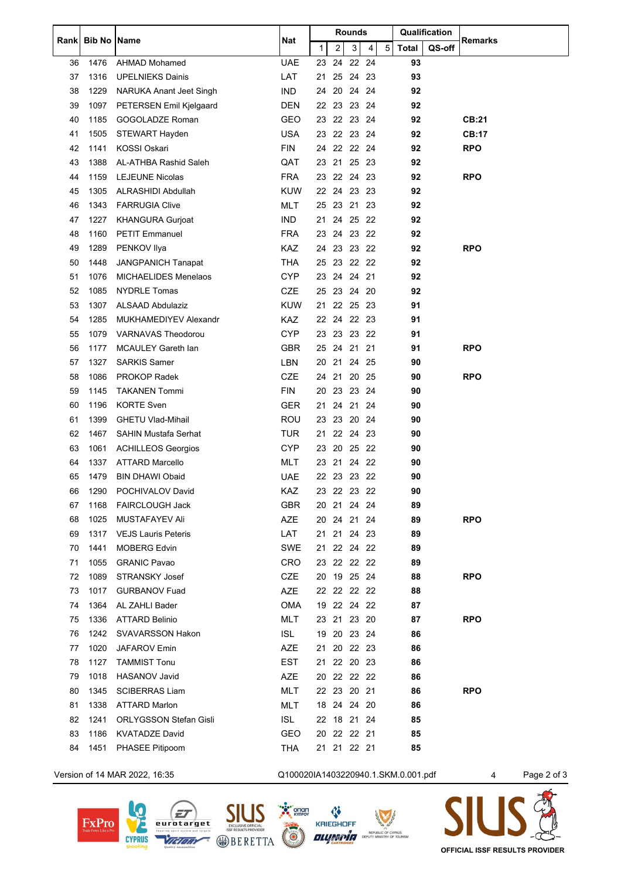| Rankl | <b>Bib No   Name</b> |                               | Nat                                 | Rounds       |    |             |       |   | Qualification |        | <b>Remarks</b> |             |
|-------|----------------------|-------------------------------|-------------------------------------|--------------|----|-------------|-------|---|---------------|--------|----------------|-------------|
|       |                      |                               |                                     | $\mathbf{1}$ | 2  | 3           | 4     | 5 | <b>Total</b>  | QS-off |                |             |
| 36    | 1476                 | <b>AHMAD Mohamed</b>          | <b>UAE</b>                          | 23           | 24 |             | 22 24 |   | 93            |        |                |             |
| 37    | 1316                 | <b>UPELNIEKS Dainis</b>       | LAT                                 | 21           | 25 | 24 23       |       |   | 93            |        |                |             |
| 38    | 1229                 | NARUKA Anant Jeet Singh       | <b>IND</b>                          | 24           | 20 | 24 24       |       |   | 92            |        |                |             |
| 39    | 1097                 | PETERSEN Emil Kjelgaard       | DEN                                 |              |    | 22 23 23 24 |       |   | 92            |        |                |             |
| 40    | 1185                 | GOGOLADZE Roman               | <b>GEO</b>                          | 23           | 22 | 23 24       |       |   | 92            |        | <b>CB:21</b>   |             |
| 41    | 1505                 | STEWART Hayden                | <b>USA</b>                          |              |    | 23 22 23 24 |       |   | 92            |        | <b>CB:17</b>   |             |
| 42    | 1141                 | KOSSI Oskari                  | <b>FIN</b>                          | 24           |    | 22 22 24    |       |   | 92            |        | <b>RPO</b>     |             |
| 43    | 1388                 | AL-ATHBA Rashid Saleh         | QAT                                 | 23           |    | 21 25 23    |       |   | 92            |        |                |             |
| 44    | 1159                 | <b>LEJEUNE Nicolas</b>        | <b>FRA</b>                          | 23           |    | 22 24 23    |       |   | 92            |        | <b>RPO</b>     |             |
| 45    | 1305                 | ALRASHIDI Abdullah            | <b>KUW</b>                          |              |    | 22 24 23 23 |       |   | 92            |        |                |             |
| 46    | 1343                 | <b>FARRUGIA Clive</b>         | <b>MLT</b>                          |              |    | 25 23 21 23 |       |   | 92            |        |                |             |
| 47    | 1227                 | <b>KHANGURA Gurjoat</b>       | <b>IND</b>                          | 21           | 24 |             | 25 22 |   | 92            |        |                |             |
| 48    | 1160                 | <b>PETIT Emmanuel</b>         | <b>FRA</b>                          | 23           |    | 24 23 22    |       |   | 92            |        |                |             |
| 49    | 1289                 | PENKOV Ilya                   | KAZ                                 |              |    | 24 23 23 22 |       |   | 92            |        | <b>RPO</b>     |             |
| 50    | 1448                 | <b>JANGPANICH Tanapat</b>     | THA                                 |              |    | 25 23 22 22 |       |   | 92            |        |                |             |
| 51    | 1076                 | <b>MICHAELIDES Menelaos</b>   | <b>CYP</b>                          | 23           |    | 24 24 21    |       |   | 92            |        |                |             |
| 52    | 1085                 | <b>NYDRLE Tomas</b>           | CZE                                 | 25           |    | 23 24 20    |       |   | 92            |        |                |             |
| 53    | 1307                 | <b>ALSAAD Abdulaziz</b>       | <b>KUW</b>                          | 21           |    | 22 25 23    |       |   | 91            |        |                |             |
| 54    | 1285                 | MUKHAMEDIYEV Alexandr         | <b>KAZ</b>                          | 22           | 24 | 22 23       |       |   | 91            |        |                |             |
| 55    | 1079                 | <b>VARNAVAS Theodorou</b>     | <b>CYP</b>                          |              |    | 23 23 23 22 |       |   | 91            |        |                |             |
| 56    | 1177                 | <b>MCAULEY Gareth Ian</b>     | <b>GBR</b>                          |              |    | 25 24 21 21 |       |   | 91            |        | <b>RPO</b>     |             |
| 57    | 1327                 | <b>SARKIS Samer</b>           | LBN                                 |              |    | 20 21 24 25 |       |   | 90            |        |                |             |
| 58    | 1086                 | <b>PROKOP Radek</b>           | <b>CZE</b>                          | 24           |    | 21 20 25    |       |   | 90            |        | <b>RPO</b>     |             |
| 59    | 1145                 | <b>TAKANEN Tommi</b>          | <b>FIN</b>                          | 20           |    | 23 23 24    |       |   | 90            |        |                |             |
| 60    | 1196                 | <b>KORTE Sven</b>             | <b>GER</b>                          | 21           |    | 24 21 24    |       |   | 90            |        |                |             |
| 61    | 1399                 | <b>GHETU Vlad-Mihail</b>      | <b>ROU</b>                          | 23           | 23 |             | 20 24 |   | 90            |        |                |             |
| 62    | 1467                 | <b>SAHIN Mustafa Serhat</b>   | TUR                                 | 21           |    | 22 24 23    |       |   | 90            |        |                |             |
| 63    | 1061                 | <b>ACHILLEOS Georgios</b>     | <b>CYP</b>                          |              |    | 23 20 25 22 |       |   | 90            |        |                |             |
| 64    | 1337                 | ATTARD Marcello               | MLT                                 |              |    | 23 21 24 22 |       |   | 90            |        |                |             |
| 65    | 1479                 | <b>BIN DHAWI Obaid</b>        | <b>UAE</b>                          | 22           |    | 23 23 22    |       |   | 90            |        |                |             |
| 66    | 1290                 | POCHIVALOV David              | KAZ                                 |              |    | 23 22 23 22 |       |   | 90            |        |                |             |
| 67    | 1168                 | <b>FAIRCLOUGH Jack</b>        | <b>GBR</b>                          |              |    |             |       |   | 89            |        |                |             |
| 68    | 1025                 | <b>MUSTAFAYEV Ali</b>         | <b>AZE</b>                          |              |    | 20 24 21 24 |       |   | 89            |        | <b>RPO</b>     |             |
| 69    | 1317                 | <b>VEJS Lauris Peteris</b>    | LAT                                 |              |    | 21 21 24 23 |       |   | 89            |        |                |             |
| 70    | 1441                 | <b>MOBERG Edvin</b>           | <b>SWE</b>                          |              |    | 21 22 24 22 |       |   | 89            |        |                |             |
| 71    | 1055                 | <b>GRANIC Pavao</b>           | <b>CRO</b>                          |              |    | 23 22 22 22 |       |   | 89            |        |                |             |
| 72    | 1089                 | STRANSKY Josef                | <b>CZE</b>                          |              |    | 20 19 25 24 |       |   | 88            |        | <b>RPO</b>     |             |
| 73    | 1017                 | <b>GURBANOV Fuad</b>          | <b>AZE</b>                          |              |    | 22 22 22 22 |       |   | 88            |        |                |             |
| 74    | 1364                 | AL ZAHLI Bader                | <b>OMA</b>                          |              |    | 19 22 24 22 |       |   | 87            |        |                |             |
| 75    | 1336                 | <b>ATTARD Belinio</b>         | <b>MLT</b>                          |              |    | 23 21 23 20 |       |   | 87            |        | <b>RPO</b>     |             |
| 76    | 1242                 | <b>SVAVARSSON Hakon</b>       | ISL.                                |              |    | 19 20 23 24 |       |   | 86            |        |                |             |
| 77    | 1020                 | <b>JAFAROV Emin</b>           | <b>AZE</b>                          | 21           |    | 20 22 23    |       |   | 86            |        |                |             |
| 78    | 1127                 | <b>TAMMIST Tonu</b>           | <b>EST</b>                          |              |    | 21 22 20 23 |       |   | 86            |        |                |             |
| 79    | 1018                 | <b>HASANOV Javid</b>          | <b>AZE</b>                          | 20           |    | 22 22 22    |       |   | 86            |        |                |             |
| 80    | 1345                 | <b>SCIBERRAS Liam</b>         | <b>MLT</b>                          |              |    | 22 23 20 21 |       |   | 86            |        | <b>RPO</b>     |             |
| 81    | 1338                 | <b>ATTARD Marlon</b>          | <b>MLT</b>                          |              |    | 18 24 24 20 |       |   | 86            |        |                |             |
| 82    | 1241                 | <b>ORLYGSSON Stefan Gisli</b> | <b>ISL</b>                          |              |    | 22 18 21 24 |       |   | 85            |        |                |             |
| 83    | 1186                 | <b>KVATADZE David</b>         | <b>GEO</b>                          | 20           |    | 22 22 21    |       |   | 85            |        |                |             |
| 84    | 1451                 | PHASEE Pitipoom               | THA                                 |              |    | 21 21 22 21 |       |   | 85            |        |                |             |
|       |                      |                               |                                     |              |    |             |       |   |               |        |                |             |
|       |                      | Version of 14 MAR 2022, 16:35 | Q100020IA1403220940.1.SKM.0.001.pdf |              |    |             |       |   |               |        | 4              | Page 2 of 3 |